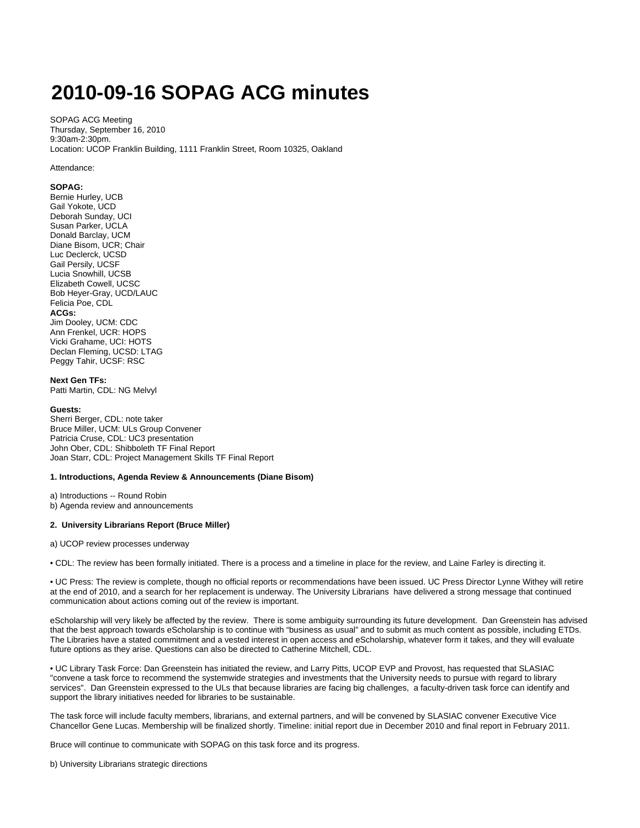# **2010-09-16 SOPAG ACG minutes**

SOPAG ACG Meeting Thursday, September 16, 2010 9:30am-2:30pm. Location: UCOP Franklin Building, 1111 Franklin Street, Room 10325, Oakland

#### Attendance:

### **SOPAG:**

Bernie Hurley, UCB Gail Yokote, UCD Deborah Sunday, UCI Susan Parker, UCLA Donald Barclay, UCM Diane Bisom, UCR; Chair Luc Declerck, UCSD Gail Persily, UCSF Lucia Snowhill, UCSB Elizabeth Cowell, UCSC Bob Heyer-Gray, UCD/LAUC Felicia Poe, CDL **ACGs:** Jim Dooley, UCM: CDC Ann Frenkel, UCR: HOPS Vicki Grahame, UCI: HOTS Declan Fleming, UCSD: LTAG Peggy Tahir, UCSF: RSC

**Next Gen TFs:** Patti Martin, CDL: NG Melvyl

# **Guests:**

Sherri Berger, CDL: note taker Bruce Miller, UCM: ULs Group Convener Patricia Cruse, CDL: UC3 presentation John Ober, CDL: Shibboleth TF Final Report Joan Starr, CDL: Project Management Skills TF Final Report

#### **1. Introductions, Agenda Review & Announcements (Diane Bisom)**

a) Introductions -- Round Robin b) Agenda review and announcements

#### **2. University Librarians Report (Bruce Miller)**

a) UCOP review processes underway

• CDL: The review has been formally initiated. There is a process and a timeline in place for the review, and Laine Farley is directing it.

• UC Press: The review is complete, though no official reports or recommendations have been issued. UC Press Director Lynne Withey will retire at the end of 2010, and a search for her replacement is underway. The University Librarians have delivered a strong message that continued communication about actions coming out of the review is important.

eScholarship will very likely be affected by the review. There is some ambiguity surrounding its future development. Dan Greenstein has advised that the best approach towards eScholarship is to continue with "business as usual" and to submit as much content as possible, including ETDs. The Libraries have a stated commitment and a vested interest in open access and eScholarship, whatever form it takes, and they will evaluate future options as they arise. Questions can also be directed to Catherine Mitchell, CDL.

• UC Library Task Force: Dan Greenstein has initiated the review, and Larry Pitts, UCOP EVP and Provost, has requested that SLASIAC "convene a task force to recommend the systemwide strategies and investments that the University needs to pursue with regard to library services". Dan Greenstein expressed to the ULs that because libraries are facing big challenges, a faculty-driven task force can identify and support the library initiatives needed for libraries to be sustainable.

The task force will include faculty members, librarians, and external partners, and will be convened by SLASIAC convener Executive Vice Chancellor Gene Lucas. Membership will be finalized shortly. Timeline: initial report due in December 2010 and final report in February 2011.

Bruce will continue to communicate with SOPAG on this task force and its progress.

b) University Librarians strategic directions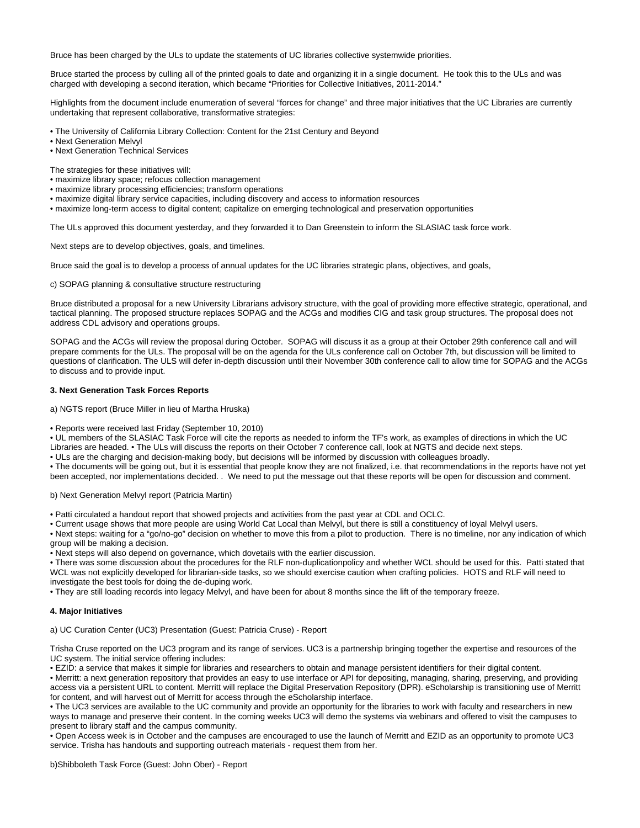Bruce has been charged by the ULs to update the statements of UC libraries collective systemwide priorities.

Bruce started the process by culling all of the printed goals to date and organizing it in a single document. He took this to the ULs and was charged with developing a second iteration, which became "Priorities for Collective Initiatives, 2011-2014."

Highlights from the document include enumeration of several "forces for change" and three major initiatives that the UC Libraries are currently undertaking that represent collaborative, transformative strategies:

• The University of California Library Collection: Content for the 21st Century and Beyond

• Next Generation Melvyl

• Next Generation Technical Services

The strategies for these initiatives will:

- maximize library space; refocus collection management
- maximize library processing efficiencies; transform operations
- maximize digital library service capacities, including discovery and access to information resources
- maximize long-term access to digital content; capitalize on emerging technological and preservation opportunities

The ULs approved this document yesterday, and they forwarded it to Dan Greenstein to inform the SLASIAC task force work.

Next steps are to develop objectives, goals, and timelines.

Bruce said the goal is to develop a process of annual updates for the UC libraries strategic plans, objectives, and goals,

c) SOPAG planning & consultative structure restructuring

Bruce distributed a proposal for a new University Librarians advisory structure, with the goal of providing more effective strategic, operational, and tactical planning. The proposed structure replaces SOPAG and the ACGs and modifies CIG and task group structures. The proposal does not address CDL advisory and operations groups.

SOPAG and the ACGs will review the proposal during October. SOPAG will discuss it as a group at their October 29th conference call and will prepare comments for the ULs. The proposal will be on the agenda for the ULs conference call on October 7th, but discussion will be limited to questions of clarification. The ULS will defer in-depth discussion until their November 30th conference call to allow time for SOPAG and the ACGs to discuss and to provide input.

## **3. Next Generation Task Forces Reports**

a) NGTS report (Bruce Miller in lieu of Martha Hruska)

• Reports were received last Friday (September 10, 2010)

• UL members of the SLASIAC Task Force will cite the reports as needed to inform the TF's work, as examples of directions in which the UC Libraries are headed. • The ULs will discuss the reports on their October 7 conference call, look at NGTS and decide next steps.

• ULs are the charging and decision-making body, but decisions will be informed by discussion with colleagues broadly.

• The documents will be going out, but it is essential that people know they are not finalized, i.e. that recommendations in the reports have not yet been accepted, nor implementations decided. . We need to put the message out that these reports will be open for discussion and comment.

b) Next Generation Melvyl report (Patricia Martin)

• Patti circulated a handout report that showed projects and activities from the past year at CDL and OCLC.

• Current usage shows that more people are using World Cat Local than Melvyl, but there is still a constituency of loyal Melvyl users.

• Next steps: waiting for a "go/no-go" decision on whether to move this from a pilot to production. There is no timeline, nor any indication of which group will be making a decision.

• Next steps will also depend on governance, which dovetails with the earlier discussion.

• There was some discussion about the procedures for the RLF non-duplicationpolicy and whether WCL should be used for this. Patti stated that WCL was not explicitly developed for librarian-side tasks, so we should exercise caution when crafting policies. HOTS and RLF will need to investigate the best tools for doing the de-duping work.

• They are still loading records into legacy Melvyl, and have been for about 8 months since the lift of the temporary freeze.

#### **4. Major Initiatives**

a) UC Curation Center (UC3) Presentation (Guest: Patricia Cruse) - Report

Trisha Cruse reported on the UC3 program and its range of services. UC3 is a partnership bringing together the expertise and resources of the UC system. The initial service offering includes:

• EZID: a service that makes it simple for libraries and researchers to obtain and manage persistent identifiers for their digital content.

• Merritt: a next generation repository that provides an easy to use interface or API for depositing, managing, sharing, preserving, and providing access via a persistent URL to content. Merritt will replace the Digital Preservation Repository (DPR). eScholarship is transitioning use of Merritt for content, and will harvest out of Merritt for access through the eScholarship interface.

• The UC3 services are available to the UC community and provide an opportunity for the libraries to work with faculty and researchers in new ways to manage and preserve their content. In the coming weeks UC3 will demo the systems via webinars and offered to visit the campuses to present to library staff and the campus community.

• Open Access week is in October and the campuses are encouraged to use the launch of Merritt and EZID as an opportunity to promote UC3 service. Trisha has handouts and supporting outreach materials - request them from her.

b)Shibboleth Task Force (Guest: John Ober) - Report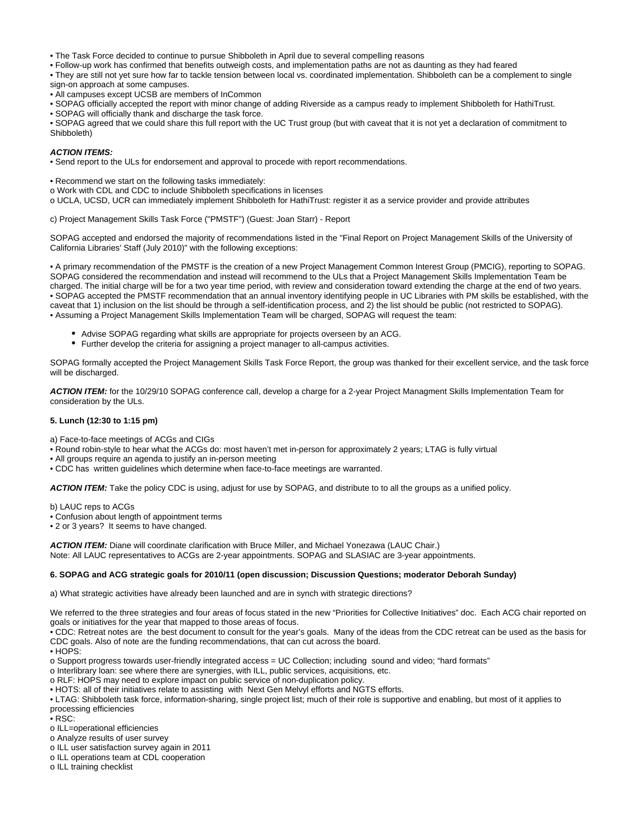• The Task Force decided to continue to pursue Shibboleth in April due to several compelling reasons

• Follow-up work has confirmed that benefits outweigh costs, and implementation paths are not as daunting as they had feared

• They are still not yet sure how far to tackle tension between local vs. coordinated implementation. Shibboleth can be a complement to single sign-on approach at some campuses.

- All campuses except UCSB are members of InCommon
- SOPAG officially accepted the report with minor change of adding Riverside as a campus ready to implement Shibboleth for HathiTrust.
- SOPAG will officially thank and discharge the task force.

• SOPAG agreed that we could share this full report with the UC Trust group (but with caveat that it is not yet a declaration of commitment to Shibboleth)

## **ACTION ITEMS:**

• Send report to the ULs for endorsement and approval to procede with report recommendations.

- Recommend we start on the following tasks immediately:
- o Work with CDL and CDC to include Shibboleth specifications in licenses
- o UCLA, UCSD, UCR can immediately implement Shibboleth for HathiTrust: register it as a service provider and provide attributes

c) Project Management Skills Task Force ("PMSTF") (Guest: Joan Starr) - Report

SOPAG accepted and endorsed the majority of recommendations listed in the "Final Report on Project Management Skills of the University of California Libraries' Staff (July 2010)" with the following exceptions:

• A primary recommendation of the PMSTF is the creation of a new Project Management Common Interest Group (PMCIG), reporting to SOPAG. SOPAG considered the recommendation and instead will recommend to the ULs that a Project Management Skills Implementation Team be charged. The initial charge will be for a two year time period, with review and consideration toward extending the charge at the end of two years. • SOPAG accepted the PMSTF recommendation that an annual inventory identifying people in UC Libraries with PM skills be established, with the caveat that 1) inclusion on the list should be through a self-identification process, and 2) the list should be public (not restricted to SOPAG). • Assuming a Project Management Skills Implementation Team will be charged, SOPAG will request the team:

- Advise SOPAG regarding what skills are appropriate for projects overseen by an ACG.
- Further develop the criteria for assigning a project manager to all-campus activities.

SOPAG formally accepted the Project Management Skills Task Force Report, the group was thanked for their excellent service, and the task force will be discharged.

**ACTION ITEM:** for the 10/29/10 SOPAG conference call, develop a charge for a 2-year Project Managment Skills Implementation Team for consideration by the ULs.

# **5. Lunch (12:30 to 1:15 pm)**

a) Face-to-face meetings of ACGs and CIGs

• Round robin-style to hear what the ACGs do: most haven't met in-person for approximately 2 years; LTAG is fully virtual

- All groups require an agenda to justify an in-person meeting
- CDC has written guidelines which determine when face-to-face meetings are warranted.

**ACTION ITEM:** Take the policy CDC is using, adjust for use by SOPAG, and distribute to to all the groups as a unified policy.

b) LAUC reps to ACGs

• Confusion about length of appointment terms

• 2 or 3 years? It seems to have changed.

**ACTION ITEM:** Diane will coordinate clarification with Bruce Miller, and Michael Yonezawa (LAUC Chair.) Note: All LAUC representatives to ACGs are 2-year appointments. SOPAG and SLASIAC are 3-year appointments.

# **6. SOPAG and ACG strategic goals for 2010/11 (open discussion; Discussion Questions; moderator Deborah Sunday)**

a) What strategic activities have already been launched and are in synch with strategic directions?

We referred to the three strategies and four areas of focus stated in the new "Priorities for Collective Initiatives" doc. Each ACG chair reported on goals or initiatives for the year that mapped to those areas of focus.

• CDC: Retreat notes are the best document to consult for the year's goals. Many of the ideas from the CDC retreat can be used as the basis for CDC goals. Also of note are the funding recommendations, that can cut across the board.

• HOPS:

o Support progress towards user-friendly integrated access = UC Collection; including sound and video; "hard formats"

o Interlibrary loan: see where there are synergies, with ILL, public services, acquisitions, etc.

o RLF: HOPS may need to explore impact on public service of non-duplication policy.

• HOTS: all of their initiatives relate to assisting with Next Gen Melvyl efforts and NGTS efforts.

• LTAG: Shibboleth task force, information-sharing, single project list; much of their role is supportive and enabling, but most of it applies to processing efficiencies

• RSC:

o ILL=operational efficiencies

o Analyze results of user survey

o ILL user satisfaction survey again in 2011

o ILL operations team at CDL cooperation

o ILL training checklist